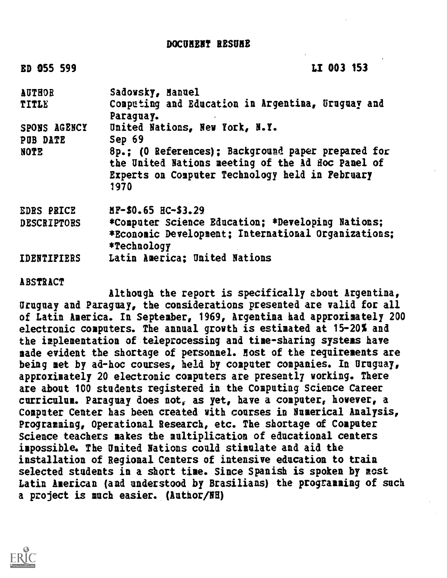## DOCUMENT RESUME

| ED 055 599         | LI 003 153                                                                                                                                                         |
|--------------------|--------------------------------------------------------------------------------------------------------------------------------------------------------------------|
| <b>AUTHOR</b>      | Sadowsky, Hanuel                                                                                                                                                   |
| TITLE              | Competing and Education in Argentina, Gruguay and                                                                                                                  |
|                    | Paraquay.                                                                                                                                                          |
| SPONS AGENCY       | United Nations, New York, N.Y.                                                                                                                                     |
| PUB DATE           | Sep 69                                                                                                                                                             |
| <b>NOTE</b>        | 8p.; (0 References); Background paper prepared for<br>the United Nations meeting of the Ad Hoc Panel of<br>Experts on Computer Technology held in Pebruary<br>1970 |
| <b>EDRS PRICE</b>  | $\texttt{MP-50.65}$ $\texttt{HC-53.29}$                                                                                                                            |
| <b>DESCRIPTORS</b> | *Computer Science Education; *Developing Nations;                                                                                                                  |
|                    | *Economic Development; International Organizations:                                                                                                                |
|                    | *Technology                                                                                                                                                        |
| <b>IDENTIFIERS</b> | Latin America: United Nations                                                                                                                                      |

**ABSTRACT** 

Although the report is specifically about Argentina, Uruguay and Paraguay, the considerations presented are valid for all of Latin America. In September, 1969, Argentina had approximately 200 electronic computers. The annual growth is estimated at 15-20% and the implementation of teleprocessing and time-sharing systems have made evident the shortage of personnel. Host of the requirements are being met by ad-hoc courses, held by computer companies. In Uruguay, approximately 20 electronic computers are presently working. There are about 100 students registered in the Computing Science Career curriculum. Paraguay does not, as yet, have a computer, however, a Computer Center has been created with courses in Numerical Analysis, Programming, Operational Research, etc. The shortage of Computer Science teachers makes the multiplication of educational centers impossible. The United Nations could stimulate and aid the installation of Regional Centers of intensive education to traia selected students in a short time. Since Spanish is spoken by most Latin American (and understood by Brasilians) the programming of such a project is much easier. (Author/NH)

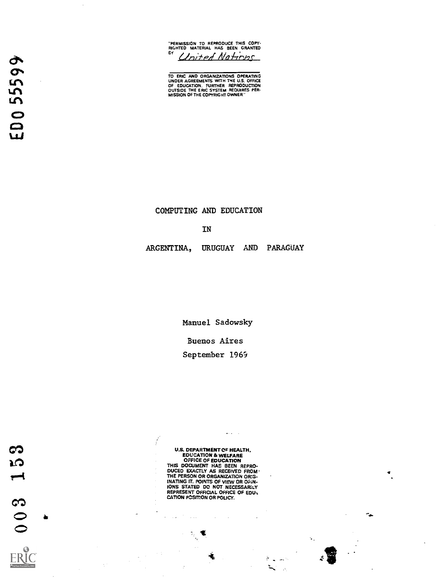"PERMISSION TO REPRODUCE THIS COPY-RIGHTED MATERIAL HAS BEEN GRANTED Cloited Nations

TO ERIC AND ORGANIZATIONS OPERATING<br>UNDER AGREEMENTS WITH THE U.S. OFFICE<br>OF EDUCATION. FURTHER REPRODUCTION<br>OUTSIDE THE COPYRIGHT OWNER.

COMPUTING AND EDUCATION

#### IN

ARGENTINA, URUGUAY AND PARAGUAY

Manuel Sadowsky

Buenos Aires

September 1969

 $\frac{1}{2}$ 

U.S. DEPARTMENT OF HEALTH,<br>EDUCATION & WELFARE<br>CFFICE OF EDUCATION<br>THIS DOCUMENT HAS BEEN REPRO-<br>DUCED EXACTLY AS RECEIVED FROM<br>THE PERSON OR ORGANIZATION ORIG-<br>INATING IT. POINTS OF VIEW OR OF GFIN-<br>IONS STATED DC NOT NEC CATION POSITION OR POLICY.

 $\hat{\mathcal{A}}$ 

 $\sim$ 

 $\blacksquare$ 

 $\sim$   $\sim$ 

 $\sim$   $\sim$ 

 $\Delta\phi$  and  $\Delta\phi$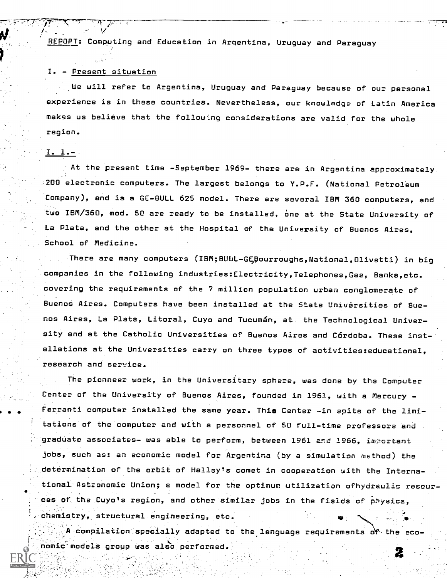REPORT: Computing and Education in Argentina, Uruguay and Paraguay

#### I. - Present situation

 $\blacksquare$  We will refer to Argentina, Uruguay and Paraguay because of our personal experience is in these countries. Nevertheless, our knowladge of Latin America makes us believe that the following considerations are valid for the whole region.

### I. 1.-

At the present time -September 1969- there are in Argentina approximately. 200 electronic computers. The largest belongs to Y.P.F. (National Petroleum Company), and is a GE-BULL 625 model. There are several IBM 360 computers, and two IBM/360, mod. 50 are ready to be installed, one at the State University of La Plata, and the other at the Hospital of the University of Buenos Aires, School of Medicine.

There are many computers (IBM;BULL-G;pourroughs,National,Olivetti) in big companies in the following industries:Electricity,Telephones,Gas, Banks,etc. covering the requirements of the 7 million population urban conglomerate of Buenos Aires. Computers have been installed at the State Universities of Buenos Aires, La Plata, Litoral, Cuyo and Tucumán, at the Technological University and at the Catholic Universities of Buenos Aires and Córdoba. These installations at the Universities carry on three types of activities:educational, research and service.

The pionneer work, in the Universitary sphere, was done by the Computer Center of the University of Buenos Aires, founded in 1961, with a Mercury - Ferranti computer installed the same year. This Center -in spite of the limitations of the computer and with a personnel of 50 full-time professors and graduate associates- was able to perform, between 1961 and 1966, important jobs, such as: an economic model for Argentina (by a simulation method) the determination of the orbit of Halley's comet in cooperation with the International Astronomic Union; a model for the optimum utilization ofhydraulic resources of the Cuyo's region, and other similar jobs in the fields of physics, chemistry, structural engineering, etc.

A compilation specially adapted to the lenguage requirements of the eco-. nomic-models group was also performed.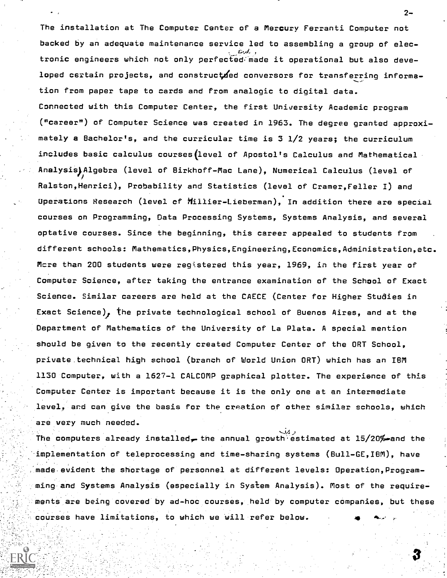The installation at The Computer Center of a Mercury Ferranti Computer not backed by an adequate maintenance service led to assembling a group of elec- . , tronic engineers which not only perfected. made it operational but also developed certain projects, and constructed conversors for transferring information from paper tape to cards and from analogic to digital data. Connected with this Computer Center, the first University Academic program ("career") of Computer Science was created in 1963. The degree granted approximately a Bachelor's, and the curricular time is 3 1/2 years; the curriculum includes basic calculus courses(level of Apostol's Calculus and Mathematical Analysis)Algebra (level of Birkhoff-Mac Lane), Numerical Calculus (level of Ralston,Henrici), Probability and Statistics (level of Cramer,Feller I) and Uperations Research (level cf MiiIier-Lieberman), In addition there are special courses on Programming, Data Processing Systems, Systems Analysis, and several optative courses. Since the beginning, this career appealed to students from different schools: Mathematics,Physics,Engineering,Economics,Administration,etc. Mcre than 200 students were registered this year, 1969, in the first year of Computer Science, after taking the entrance examination of the School of Exact Science. Similar careers are held at the CAECE (Center for Higher Studies in Exact Science), the private technological school of Buenos Aires, and at the Department of Mathematics of the University of La Plata. A special mention should be given to the recently created Computer Center of the ORT School, private technical high school (branch of World Union ORT) which has an IBM 1130 Computer, with a 1627-1 CALCOMP graphical plotter. The experience of this Computer Center is important because it is the only one at an intermediate level, and can give the basis for the creation of other similar schools, which are very much needed.

The computers already installed, the annual growth estimated at  $15/20%$  and the implementation of teleprocessing and time-sharing systems (Bull-GE,IBM), have made evident the shortage of personnel at different levels: Operation,Programming and Systems Analysis (especially in System Analysis). Most of the requirements are being covered by ad-hoc courses, held by computer companies, but these courses have limitations, to which we will refer below.

 $2-$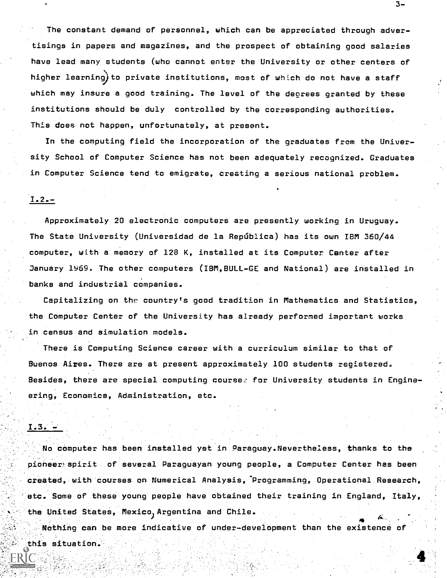The constant demand of personnel, which can be appreciated through advertisings in papers and magazines, and the prospect of obtaining good salaries have lead many students (who cannot enter the University or other centers of higher learning)to private institutions, most of which do not have a staff which may insure a good training. The level of the decrees granted by these institutions should be duly controlled by the corresponding authorities. This does not happen, unfortunately, at present.

In the computing field the incorporation of the graduates from the University School of Computer Science has not been adequately recognized. Graduates in Computer Science tend to emigrate, creating a serious national problem.

# $1.2. -$

Approximately 20 electronic computers are presently working in Uruguay. The State University (Universidad de la República) has its own IBM 360/44 computer, with a memory of 128 K, installed at its Computer Center after January 1969. The other computers (IBM,BULL-GE and National) are installed in banks and industrial companies.

Capitalizing on the country's good tradition in Mathematics and Statistics, the Computer Center of the University has already performed important works in census and simulation models.

There is Computing Science career with a curriculum similar to that of Buenos Aires. There are at present approximately 100 students registered. Besides, there are special computing course. for University students in Engineering, Economics, Administration, etc.

#### $I.3. -$

No computer has been installed yet in Paraguay.Nevertheless, thanks to the pioneer,spirit of several Paraguayan young people, a Computer Center has been created with courses on Numerical Analysis, Programming, Operational Research, etc. Some of these young people have obtained their training in England, Italy, the United States, Mexico ) Argentina and Chile.  $\bullet$  4.  $\bullet$  4.  $\bullet$ 

Nothing can be more indicative of under-development than the existence of this situation.

 $3-$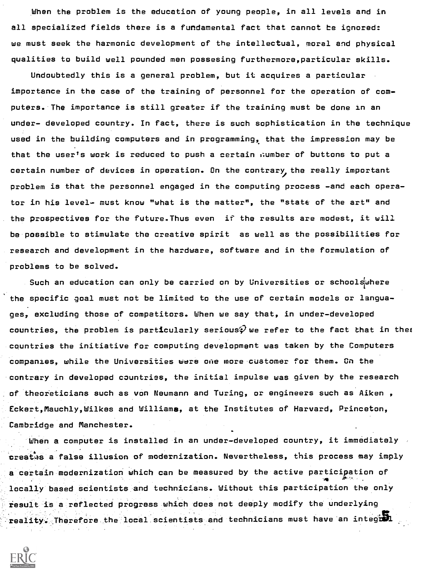When the problem is the education of young people, in all levels and in all specialized fields there is a fundamental fact that cannot be ignored: we must seek the harmonic development of the intellectual, moral end physical qualities to build well pounded men possesing furthermore,particular skills.

Undoubtedly this is a general problem, but it acquires a particular importance in the case of the training of personnel for the operation of computers. The importance is still greater if the training must be done in an under- developed country. In fact, there is such sophistication in the technique used in the building computers and in programming, that the impression may be that the user's work is reduced to push a certain :lumber of buttons to put a certain number of devices in operation. On the contrary, the really important problem is that the personnel engaged in the computing process -and each operator in his level- must know "what is the matter", the "state of the art" and the prospectives for the future.Thus even if the results are modest, it will be possible to stimulate the creative spirit as well as the possibilities for research and development in the hardware, software and in the formulation of problems to be solved.

Such an education can only be carried on by Universities or schools $\omega$ here the specific goal must not be limited to the use of certain models or languages, excluding those of competitors. When we say that, in under-developed countries, the problem is particularly serious $\widehat{\mathscr{G}}$  we refer to the fact that in the $\mathfrak c$ countries the initiative for computing development was taken by the Computers companies, while the Universities were pile more customer for them. On the contrary in developed countries, the initial impulse was given by the research of theoreticians such as von Neumann and Turing, or engineers such as Aiken , Eckert,Mauchly,Wilkes and Williams, at the Institutes of Harvard, Princeton, Cambridge and Manchester.

When a computer is installed in an under-developed country, it immediately creates a false illusion of modernization. Nevertheless, this process may imply a certain modernization which can be measured by the active particigation of locally based scientists and technicians. Without this participation the only result is a reflected progress which does not deeply modify the underlying  $\texttt{reality}:$  Therefore the local scientists and technicians must have an integral

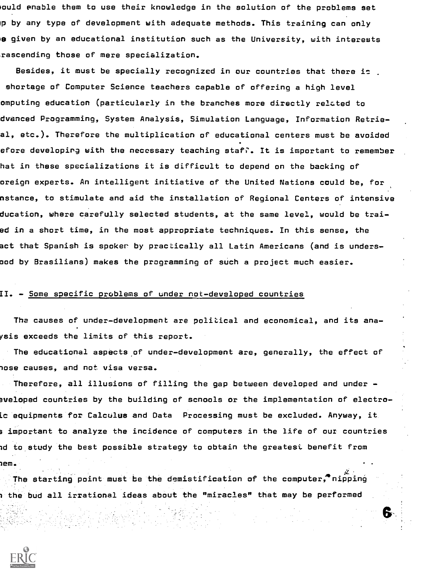lould enable them to use their knowledge in the solution of the problems set p by any type of development with adequate methods. This training can only e given by an educational institution such as the University, with interests rascending those of mere specialization.

Besides, it must be specially recognized in our countries that there is shortage of Computer Science teachers capable of offering a high level omputing education (particularly in the branches more directly related to dvanced Programming, System Analysis, Simulation Language, Information Retrieal, etc.). Therefore the multiplication of educational centers must be avoided efore developirg with the necessary teaching  $\texttt{staf}$ . It is important to remember hat in these specializations it is difficult to depend on the backing of oreign experts. An intelligent initiative of the United Nations could be, for nstance, to stimulate and aid the installation of Regional Centers of intensive ducation, where carefully selected students, at the same level, would be traied in a short time, in the most appropriate techniques. In this sense, the act that Spanish is spoker by practically all Latin Americans (and is undersood by Brasilians) makes the programming of such a project much easier.

### II. - Some spe<u>cific problems of under not-developed countries</u>

The causes of under-development are political and economical, and its anaysis exceeds the limits of this report.

The educational aspects of under-development are, generally, the effect of lose causes, and not visa versa.

Therefore, all illusions of filling the gap between developed and under aveloped countries by the building of scnools or the implementation of electroic equipments for Calculus and Data  $\,$  Processing must be excluded. Anyway, it 3 important to analyze the incidence of computers in the life of our countries Id to study the best possible strategy to obtain the greatest benefit from Iem.

6.

The starting point must be the demistification of the computer, nipping 1 the bud all irrational ideas about the "miracles" that may be performed

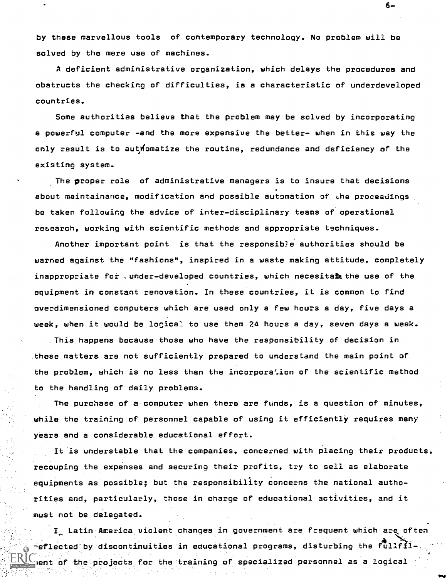by these marvellous tools of contemporary technology. No problem will be solved by the mere use of machines.

A deficient administrative organization, which delays the procedures and obstructs the checking of difficulties, is a characteristic of underdeveloped countries.

Some authorities believe that the problem may be solved by incorporating a powerful computer -and the more expensive the better- when in this way the only result is to authomatize the routine, redundance and deficiency of the existing system.

The proper role of administrative managers is to insure that decisions about maintainance, modification and possible automation of the proceedings be taken following the advice of inter-disciplinazy teams of operational research, working with scientific methods and appropriate techniques.

Another important point is that the responsibJe authorities should be warned against the "fashions", inspired in a waste making attitude, completely inappropriate for .under-developed countries, which necesita**l** the use of the equipment in constant renovation. In these countries, it is common to find overdimensioned computers which are used only a few hours a day, five days a week, when it would be locical to use them 24 hours a day, seven days a week. This happens because those who have the responsibility of decision in .these matters are not sufficiently prspared to understand the main point of the problem, which is no less than the incorporation of the scientific method to the handling of daily problems.

The purchase of a computer when there are funds, is a question of minutes, while the training of personnel capable of using it efficiently requires many years and a considerable educational effort.

It is understable that the companies, concerned with placing their products, recouping the expenses and securing their profits, try to sell as elaborate equipments as possible; but the responsibility concerns the national authorities and, particularly, those in charge of educational activities, and it must not be delegated.

I, Latin America violent changes in government are frequent which are often reflected by discontinuities in educational programs, disturbing the fullfil Hent of the projects for the training of specialized personnel as a logical

6–